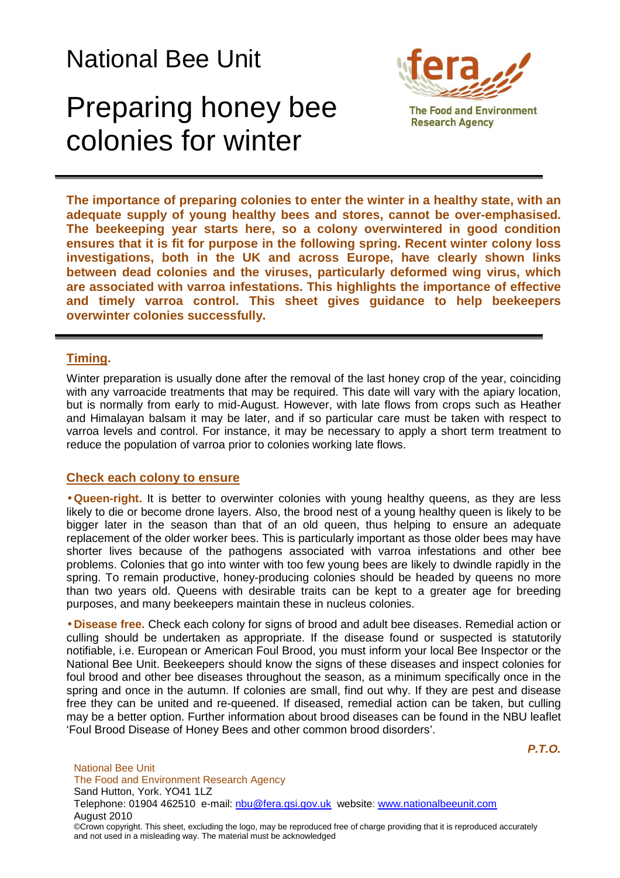## National Bee Unit

## Preparing honey bee colonies for winter



**The importance of preparing colonies to enter the winter in a healthy state, with an adequate supply of young healthy bees and stores, cannot be over-emphasised. The beekeeping year starts here, so a colony overwintered in good condition ensures that it is fit for purpose in the following spring. Recent winter colony loss investigations, both in the UK and across Europe, have clearly shown links between dead colonies and the viruses, particularly deformed wing virus, which are associated with varroa infestations. This highlights the importance of effective and timely varroa control. This sheet gives guidance to help beekeepers overwinter colonies successfully.**

## **Timing.**

Winter preparation is usually done after the removal of the last honey crop of the year, coinciding with any varroacide treatments that may be required. This date will vary with the apiary location, but is normally from early to mid-August. However, with late flows from crops such as Heather and Himalayan balsam it may be later, and if so particular care must be taken with respect to varroa levels and control. For instance, it may be necessary to apply a short term treatment to reduce the population of varroa prior to colonies working late flows.

## **Check each colony to ensure**

• **Queen-right.** It is better to overwinter colonies with young healthy queens, as they are less likely to die or become drone layers. Also, the brood nest of a young healthy queen is likely to be bigger later in the season than that of an old queen, thus helping to ensure an adequate replacement of the older worker bees. This is particularly important as those older bees may have shorter lives because of the pathogens associated with varroa infestations and other bee problems. Colonies that go into winter with too few young bees are likely to dwindle rapidly in the spring. To remain productive, honey-producing colonies should be headed by queens no more than two years old. Queens with desirable traits can be kept to a greater age for breeding purposes, and many beekeepers maintain these in nucleus colonies.

• **Disease free.** Check each colony for signs of brood and adult bee diseases. Remedial action or culling should be undertaken as appropriate. If the disease found or suspected is statutorily notifiable, i.e. European or American Foul Brood, you must inform your local Bee Inspector or the National Bee Unit. Beekeepers should know the signs of these diseases and inspect colonies for foul brood and other bee diseases throughout the season, as a minimum specifically once in the spring and once in the autumn. If colonies are small, find out why. If they are pest and disease free they can be united and re-queened. If diseased, remedial action can be taken, but culling may be a better option. Further information about brood diseases can be found in the NBU leaflet 'Foul Brood Disease of Honey Bees and other common brood disorders'.

**P.T.O.**

National Bee Unit The Food and Environment Research Agency Sand Hutton, York. YO41 1LZ Telephone: 01904 462510 e-mail: nbu@fera.gsi.gov.uk website: www.nationalbeeunit.com August 2010 ©Crown copyright. This sheet, excluding the logo, may be reproduced free of charge providing that it is reproduced accurately and not used in a misleading way. The material must be acknowledged